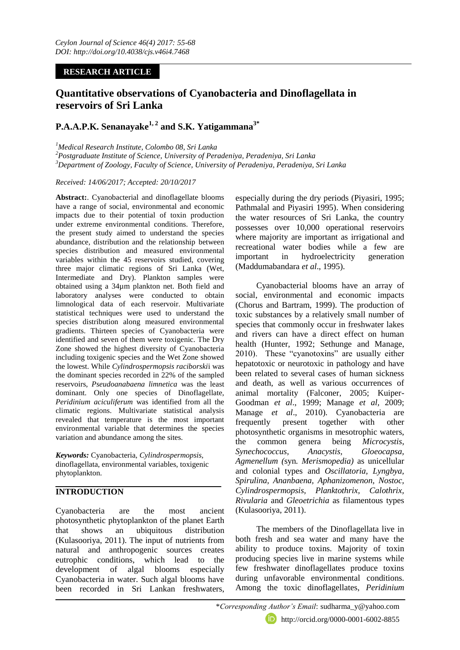# **RESEARCH ARTICLE**

# **Quantitative observations of Cyanobacteria and Dinoflagellata in reservoirs of Sri Lanka**

# **P.A.A.P.K. Senanayake1, 2 and S.K. Yatigammana3\***

*<sup>1</sup>Medical Research Institute, Colombo 08, Sri Lanka*

*<sup>2</sup>Postgraduate Institute of Science, University of Peradeniya, Peradeniya, Sri Lanka <sup>3</sup>Department of Zoology, Faculty of Science, University of Peradeniya, Peradeniya, Sri Lanka*

*Received: 14/06/2017; Accepted: 20/10/2017*

**Abstract:**. Cyanobacterial and dinoflagellate blooms have a range of social, environmental and economic impacts due to their potential of toxin production under extreme environmental conditions. Therefore, the present study aimed to understand the species abundance, distribution and the relationship between species distribution and measured environmental variables within the 45 reservoirs studied, covering three major climatic regions of Sri Lanka (Wet, Intermediate and Dry). Plankton samples were obtained using a 34µm plankton net. Both field and laboratory analyses were conducted to obtain limnological data of each reservoir. Multivariate statistical techniques were used to understand the species distribution along measured environmental gradients. Thirteen species of Cyanobacteria were identified and seven of them were toxigenic. The Dry Zone showed the highest diversity of Cyanobacteria including toxigenic species and the Wet Zone showed the lowest. While *Cylindrospermopsis raciborski*i was the dominant species recorded in 22% of the sampled reservoirs, *Pseudoanabaena limnetica* was the least dominant. Only one species of Dinoflagellate, *Peridinium aciculiferum* was identified from all the climatic regions. Multivariate statistical analysis revealed that temperature is the most important environmental variable that determines the species variation and abundance among the sites.

*Keywords:* Cyanobacteria, *Cylindrospermopsis,*  dinoflagellata, environmental variables, toxigenic phytoplankton.

# **INTRODUCTION**

Cyanobacteria are the most ancient photosynthetic phytoplankton of the planet Earth that shows an ubiquitous distribution (Kulasooriya, 2011). The input of nutrients from natural and anthropogenic sources creates eutrophic conditions, which lead to the development of algal blooms especially Cyanobacteria in water. Such algal blooms have been recorded in Sri Lankan freshwaters,

especially during the dry periods (Piyasiri, 1995; Pathmalal and Piyasiri 1995). When considering the water resources of Sri Lanka, the country possesses over 10,000 operational reservoirs where majority are important as irrigational and recreational water bodies while a few are important in hydroelectricity generation (Maddumabandara *et al*., 1995).

Cyanobacterial blooms have an array of social, environmental and economic impacts (Chorus and Bartram, 1999). The production of toxic substances by a relatively small number of species that commonly occur in freshwater lakes and rivers can have a direct effect on human health (Hunter, 1992; Sethunge and Manage, 2010). These "cyanotoxins" are usually either hepatotoxic or neurotoxic in pathology and have been related to several cases of human sickness and death, as well as various occurrences of animal mortality (Falconer, 2005; Kuiper-Goodman *et al*., 1999; Manage *et al,* 2009; Manage *et al*., 2010). Cyanobacteria are frequently present together with other photosynthetic organisms in mesotrophic waters, the common genera being *Microcystis*, *Synechococcus, Anacystis, Gloeocapsa, Agmenellum (*syn*. Merismopedia)* as unicellular and colonial types and *Oscillatoria, Lyngbya, Spirulina, Ananbaena, Aphanizomenon, Nostoc, Cylindrospermopsis, Planktothrix, Calothrix, Rivularia* and *Gleoetrichia* as filamentous types (Kulasooriya, 2011).

The members of the Dinoflagellata live in both fresh and sea water and many have the ability to produce toxins. Majority of toxin producing species live in marine systems while few freshwater dinoflagellates produce toxins during unfavorable environmental conditions. Among the toxic dinoflagellates, *Peridinium*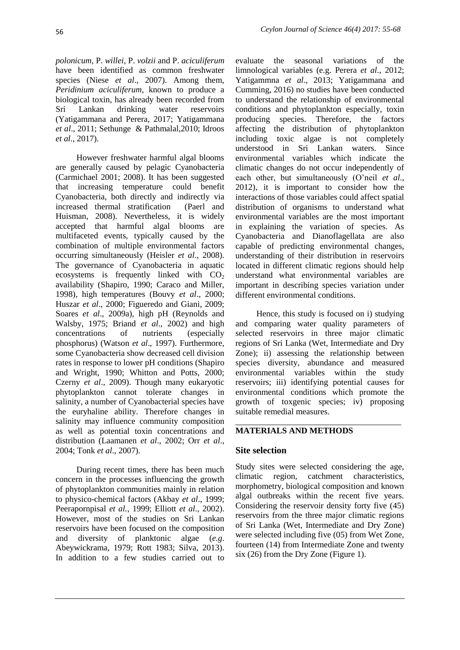*polonicum*, P. *willei*, P. *volzii* and P. *aciculiferum* have been identified as common freshwater species (Niese *et al*., 2007). Among them, *Peridinium aciculiferum,* known to produce a biological toxin, has already been recorded from Sri Lankan drinking water reservoirs (Yatigammana and Perera, 2017; Yatigammana *et al*., 2011; Sethunge & Pathmalal,2010; Idroos *et al*., 2017).

However freshwater harmful algal blooms are generally caused by pelagic Cyanobacteria (Carmichael 2001; 2008). It has been suggested that increasing temperature could benefit Cyanobacteria, both directly and indirectly via increased thermal stratification (Paerl and Huisman, 2008). Nevertheless, it is widely accepted that harmful algal blooms are multifaceted events, typically caused by the combination of multiple environmental factors occurring simultaneously (Heisler *et al*., 2008). The governance of Cyanobacteria in aquatic ecosystems is frequently linked with  $CO<sub>2</sub>$ availability (Shapiro, 1990; Caraco and Miller, 1998), high temperatures (Bouvy *et al*., 2000; Huszar *et al*., 2000; Figueredo and Giani, 2009; Soares *et al*., 2009a), high pH (Reynolds and Walsby, 1975; Briand *et al*., 2002) and high concentrations of nutrients (especially phosphorus) (Watson *et al*., 1997). Furthermore, some Cyanobacteria show decreased cell division rates in response to lower pH conditions (Shapiro and Wright, 1990; Whitton and Potts, 2000; Czerny *et al*., 2009). Though many eukaryotic phytoplankton cannot tolerate changes in salinity, a number of Cyanobacterial species have the euryhaline ability. Therefore changes in salinity may influence community composition as well as potential toxin concentrations and distribution (Laamanen *et al*., 2002; Orr *et al*., 2004; Tonk *et al*., 2007).

During recent times, there has been much concern in the processes influencing the growth of phytoplankton communities mainly in relation to physico-chemical factors (Akbay *et al*., 1999; Peerapornpisal *et al.*, 1999; Elliott *et al*., 2002). However, most of the studies on Sri Lankan reservoirs have been focused on the composition and diversity of planktonic algae (*e.g*. Abeywickrama, 1979; Rott 1983; Silva, 2013). In addition to a few studies carried out to

evaluate the seasonal variations of the limnological variables (e.g. Perera *et al*., 2012; Yatigammna *et al*., 2013; Yatigammana and Cumming, 2016) no studies have been conducted to understand the relationship of environmental conditions and phytoplankton especially, toxin producing species. Therefore, the factors affecting the distribution of phytoplankton including toxic algae is not completely understood in Sri Lankan waters. Since environmental variables which indicate the climatic changes do not occur independently of each other, but simultaneously (O"neil *et al*., 2012), it is important to consider how the interactions of those variables could affect spatial distribution of organisms to understand what environmental variables are the most important in explaining the variation of species. As Cyanobacteria and Dianoflagellata are also capable of predicting environmental changes, understanding of their distribution in reservoirs located in different climatic regions should help understand what environmental variables are important in describing species variation under different environmental conditions.

Hence, this study is focused on i) studying and comparing water quality parameters of selected reservoirs in three major climatic regions of Sri Lanka (Wet, Intermediate and Dry Zone); ii) assessing the relationship between species diversity, abundance and measured environmental variables within the study reservoirs; iii) identifying potential causes for environmental conditions which promote the growth of toxgenic species; iv) proposing suitable remedial measures.

## **MATERIALS AND METHODS**

## **Site selection**

Study sites were selected considering the age, climatic region, catchment characteristics, morphometry, biological composition and known algal outbreaks within the recent five years. Considering the reservoir density forty five (45) reservoirs from the three major climatic regions of Sri Lanka (Wet, Intermediate and Dry Zone) were selected including five (05) from Wet Zone, fourteen (14) from Intermediate Zone and twenty six (26) from the Dry Zone (Figure 1).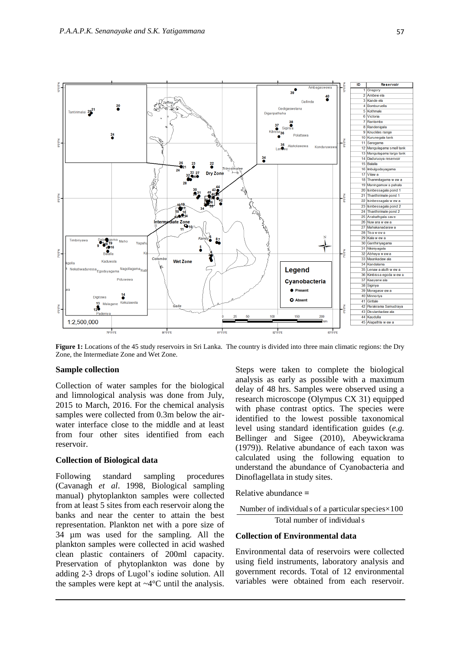

**Figure 1:** Locations of the 45 study reservoirs in Sri Lanka. The country is divided into three main climatic regions: the Dry Zone, the Intermediate Zone and Wet Zone.

#### **Sample collection**

Collection of water samples for the biological and limnological analysis was done from July, 2015 to March, 2016. For the chemical analysis samples were collected from 0.3m below the airwater interface close to the middle and at least from four other sites identified from each reservoir.

### **Collection of Biological data**

Following standard sampling procedures (Cavanagh *et al*. 1998, Biological sampling manual) phytoplankton samples were collected from at least 5 sites from each reservoir along the banks and near the center to attain the best representation. Plankton net with a pore size of 34 µm was used for the sampling. All the plankton samples were collected in acid washed clean plastic containers of 200ml capacity. Preservation of phytoplankton was done by adding 2-3 drops of Lugol"s iodine solution. All the samples were kept at  $\sim$ 4 $\degree$ C until the analysis.

Steps were taken to complete the biological analysis as early as possible with a maximum delay of 48 hrs. Samples were observed using a research microscope (Olympus CX 31) equipped with phase contrast optics. The species were identified to the lowest possible taxonomical level using standard identification guides (*e.g.* Bellinger and Sigee (2010), Abeywickrama (1979)). Relative abundance of each taxon was calculated using the following equation to understand the abundance of Cyanobacteria and Dinoflagellata in study sites.

Relative abundance **=**

```
Total number of individuals
Number of individuals of a particular species\times100
```
# **Collection of Environmental data**

Environmental data of reservoirs were collected using field instruments, laboratory analysis and government records. Total of 12 environmental variables were obtained from each reservoir.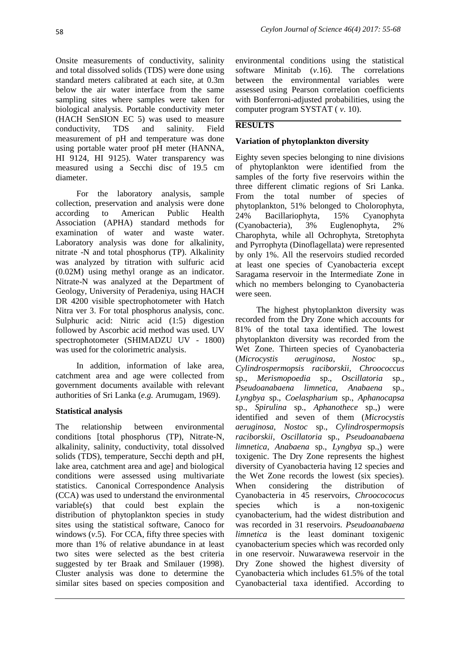Onsite measurements of conductivity, salinity and total dissolved solids (TDS) were done using standard meters calibrated at each site, at 0.3m below the air water interface from the same sampling sites where samples were taken for biological analysis. Portable conductivity meter (HACH SenSION EC 5) was used to measure conductivity, TDS and salinity. Field measurement of pH and temperature was done using portable water proof pH meter (HANNA, HI 9124, HI 9125). Water transparency was measured using a Secchi disc of 19.5 cm diameter.

For the laboratory analysis, sample collection, preservation and analysis were done according to American Public Health Association (APHA) standard methods for examination of water and waste water. Laboratory analysis was done for alkalinity, nitrate -N and total phosphorus (TP). Alkalinity was analyzed by titration with sulfuric acid (0.02M) using methyl orange as an indicator. Nitrate-N was analyzed at the Department of Geology, University of Peradeniya, using HACH DR 4200 visible spectrophotometer with Hatch Nitra ver 3. For total phosphorus analysis, conc. Sulphuric acid: Nitric acid (1:5) digestion followed by Ascorbic acid method was used. UV spectrophotometer (SHIMADZU UV - 1800) was used for the colorimetric analysis.

In addition, information of lake area, catchment area and age were collected from government documents available with relevant authorities of Sri Lanka (*e.g.* Arumugam, 1969).

## **Statistical analysis**

The relationship between environmental conditions [total phosphorus (TP), Nitrate-N, alkalinity, salinity, conductivity, total dissolved solids (TDS), temperature, Secchi depth and pH, lake area, catchment area and age] and biological conditions were assessed using multivariate statistics. Canonical Correspondence Analysis (CCA) was used to understand the environmental variable(s) that could best explain the distribution of phytoplankton species in study sites using the statistical software, Canoco for windows  $(v.5)$ . For CCA, fifty three species with more than 1% of relative abundance in at least two sites were selected as the best criteria suggested by ter Braak and Smilauer (1998). Cluster analysis was done to determine the similar sites based on species composition and

environmental conditions using the statistical software Minitab (*v*.16). The correlations between the environmental variables were assessed using Pearson correlation coefficients with Bonferroni-adjusted probabilities, using the computer program SYSTAT ( *v*. 10).

# **RESULTS**

## **Variation of phytoplankton diversity**

Eighty seven species belonging to nine divisions of phytoplankton were identified from the samples of the forty five reservoirs within the three different climatic regions of Sri Lanka. From the total number of species of phytoplankton, 51% belonged to Cholorophyta, 24% Bacillariophyta, 15% Cyanophyta (Cyanobacteria), 3% Euglenophyta, 2% Charophyta, while all Ochrophyta, Stretophyta and Pyrrophyta (Dinoflagellata) were represented by only 1%. All the reservoirs studied recorded at least one species of Cyanobacteria except Saragama reservoir in the Intermediate Zone in which no members belonging to Cyanobacteria were seen.

The highest phytoplankton diversity was recorded from the Dry Zone which accounts for 81% of the total taxa identified. The lowest phytoplankton diversity was recorded from the Wet Zone. Thirteen species of Cyanobacteria (*Microcystis aeruginosa*, *Nostoc* sp., *Cylindrospermopsis raciborskii*, *Chroococcus* sp., *Merismopoedia* sp., *Oscillatoria* sp., *Pseudoanabaena limnetica*, *Anabaena* sp., *Lyngbya* sp., *Coelaspharium* sp., *Aphanocapsa* sp., *Spirulina* sp., *Aphanothece* sp.,) were identified and seven of them (*Microcystis aeruginosa*, *Nostoc* sp., *Cylindrospermopsis raciborskii*, *Oscillatoria* sp., *Pseudoanabaena limnetica*, *Anabaena* sp., *Lyngbya* sp.,) were toxigenic. The Dry Zone represents the highest diversity of Cyanobacteria having 12 species and the Wet Zone records the lowest (six species). When considering the distribution of Cyanobacteria in 45 reservoirs, *Chroocococus* species which is a non-toxigenic cyanobacterium, had the widest distribution and was recorded in 31 reservoirs. *Pseudoanabaena limnetica* is the least dominant toxigenic cyanobacterium species which was recorded only in one reservoir. Nuwarawewa reservoir in the Dry Zone showed the highest diversity of Cyanobacteria which includes 61.5% of the total Cyanobacterial taxa identified. According to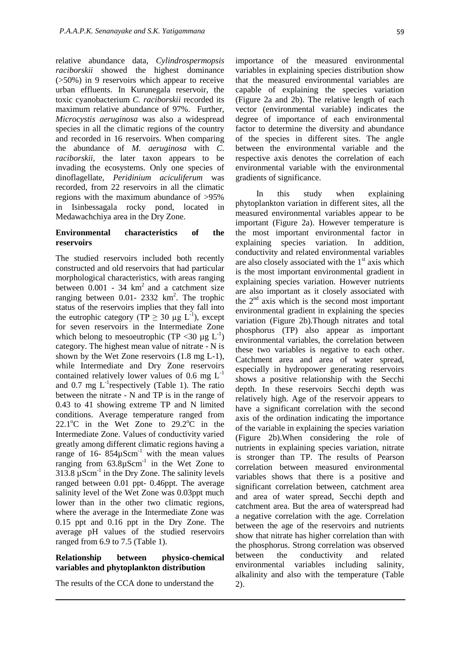relative abundance data, *Cylindrospermopsis raciborskii* showed the highest dominance (>50%) in 9 reservoirs which appear to receive urban effluents. In Kurunegala reservoir, the toxic cyanobacterium *C. raciborskii* recorded its maximum relative abundance of 97%. Further, *Microcystis aeruginosa* was also a widespread species in all the climatic regions of the country and recorded in 16 reservoirs. When comparing the abundance of *M. aeruginosa* with *C. raciborskii,* the later taxon appears to be invading the ecosystems. Only one species of dinoflagellate, *Peridinium aciculiferum* was recorded, from 22 reservoirs in all the climatic regions with the maximum abundance of >95% in Isinbessagala rocky pond, located in Medawachchiya area in the Dry Zone.

### **Environmental characteristics of the reservoirs**

The studied reservoirs included both recently constructed and old reservoirs that had particular morphological characteristics, with areas ranging between  $0.001 - 34 \text{ km}^2$  and a catchment size ranging between 0.01- 2332  $km^2$ . The trophic status of the reservoirs implies that they fall into the eutrophic category (TP  $\geq$  30 µg L<sup>-1</sup>), except for seven reservoirs in the Intermediate Zone which belong to mesoeutrophic (TP <30  $\mu$ g L<sup>-1</sup>) category. The highest mean value of nitrate - N is shown by the Wet Zone reservoirs (1.8 mg L-1), while Intermediate and Dry Zone reservoirs contained relatively lower values of 0.6 mg  $L^{-1}$ and  $0.7 \text{ mg } L^{-1}$ respectively (Table 1). The ratio between the nitrate - N and TP is in the range of 0.43 to 41 showing extreme TP and N limited conditions. Average temperature ranged from 22.1<sup>o</sup>C in the Wet Zone to 29.2<sup>o</sup>C in the Intermediate Zone. Values of conductivity varied greatly among different climatic regions having a range of  $16 - 854\mu\text{Scm}^{-1}$  with the mean values ranging from  $63.8 \mu \text{Scm}^{-1}$  in the Wet Zone to  $313.8 \mu \text{Scm}^{-1}$  in the Dry Zone. The salinity levels ranged between 0.01 ppt- 0.46ppt. The average salinity level of the Wet Zone was 0.03ppt much lower than in the other two climatic regions, where the average in the Intermediate Zone was 0.15 ppt and 0.16 ppt in the Dry Zone. The average pH values of the studied reservoirs ranged from 6.9 to 7.5 (Table 1).

## **Relationship between physico-chemical variables and phytoplankton distribution**

The results of the CCA done to understand the

importance of the measured environmental variables in explaining species distribution show that the measured environmental variables are capable of explaining the species variation (Figure 2a and 2b). The relative length of each vector (environmental variable) indicates the degree of importance of each environmental factor to determine the diversity and abundance of the species in different sites. The angle between the environmental variable and the respective axis denotes the correlation of each environmental variable with the environmental gradients of significance.

In this study when explaining phytoplankton variation in different sites, all the measured environmental variables appear to be important (Figure 2a). However temperature is the most important environmental factor in explaining species variation. In addition, conductivity and related environmental variables are also closely associated with the  $1<sup>st</sup>$  axis which is the most important environmental gradient in explaining species variation. However nutrients are also important as it closely associated with the  $2<sup>nd</sup>$  axis which is the second most important environmental gradient in explaining the species variation (Figure 2b).Though nitrates and total phosphorus (TP) also appear as important environmental variables, the correlation between these two variables is negative to each other. Catchment area and area of water spread, especially in hydropower generating reservoirs shows a positive relationship with the Secchi depth. In these reservoirs Secchi depth was relatively high. Age of the reservoir appears to have a significant correlation with the second axis of the ordination indicating the importance of the variable in explaining the species variation (Figure 2b).When considering the role of nutrients in explaining species variation, nitrate is stronger than TP. The results of Pearson correlation between measured environmental variables shows that there is a positive and significant correlation between, catchment area and area of water spread, Secchi depth and catchment area. But the area of waterspread had a negative correlation with the age. Correlation between the age of the reservoirs and nutrients show that nitrate has higher correlation than with the phosphorus. Strong correlation was observed between the conductivity and related environmental variables including salinity, alkalinity and also with the temperature (Table 2).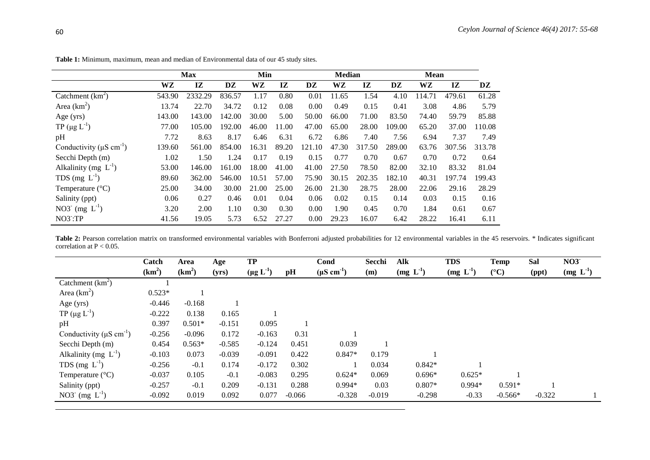|                                           | <b>Max</b> |         |        | Min   |       |        | <b>Median</b> |        |        | Mean  |        |        |  |
|-------------------------------------------|------------|---------|--------|-------|-------|--------|---------------|--------|--------|-------|--------|--------|--|
|                                           | WZ         | IZ      | DZ     | WZ    | IZ    | DZ     | WZ            | IZ     | DZ     | WZ    | IZ     | DZ     |  |
| Catchment $(km^2)$                        | 543.90     | 2332.29 | 836.57 | 1.17  | 0.80  | 0.01   | 11.65         | 1.54   | 4.10   | 14.71 | 479.61 | 61.28  |  |
| Area $(km^2)$                             | 13.74      | 22.70   | 34.72  | 0.12  | 0.08  | 0.00   | 0.49          | 0.15   | 0.41   | 3.08  | 4.86   | 5.79   |  |
| Age $(yrs)$                               | 143.00     | 143.00  | 142.00 | 30.00 | 5.00  | 50.00  | 66.00         | 71.00  | 83.50  | 74.40 | 59.79  | 85.88  |  |
| $TP (\mu g L^{-1})$                       | 77.00      | 105.00  | 192.00 | 46.00 | 11.00 | 47.00  | 65.00         | 28.00  | 109.00 | 65.20 | 37.00  | 110.08 |  |
| pH                                        | 7.72       | 8.63    | 8.17   | 6.46  | 6.31  | 6.72   | 6.86          | 7.40   | 7.56   | 6.94  | 7.37   | 7.49   |  |
| Conductivity ( $\mu$ S cm <sup>-1</sup> ) | 139.60     | 561.00  | 854.00 | 16.31 | 89.20 | 121.10 | 47.30         | 317.50 | 289.00 | 63.76 | 307.56 | 313.78 |  |
| Secchi Depth (m)                          | 1.02       | 1.50    | 1.24   | 0.17  | 0.19  | 0.15   | 0.77          | 0.70   | 0.67   | 0.70  | 0.72   | 0.64   |  |
| Alkalinity (mg $L^{-1}$ )                 | 53.00      | 146.00  | 161.00 | 18.00 | 41.00 | 41.00  | 27.50         | 78.50  | 82.00  | 32.10 | 83.32  | 81.04  |  |
| TDS $(mg L^{-1})$                         | 89.60      | 362.00  | 546.00 | 10.51 | 57.00 | 75.90  | 30.15         | 202.35 | 182.10 | 40.31 | 197.74 | 199.43 |  |
| Temperature $(^{\circ}C)$                 | 25.00      | 34.00   | 30.00  | 21.00 | 25.00 | 26.00  | 21.30         | 28.75  | 28.00  | 22.06 | 29.16  | 28.29  |  |
| Salinity (ppt)                            | 0.06       | 0.27    | 0.46   | 0.01  | 0.04  | 0.06   | 0.02          | 0.15   | 0.14   | 0.03  | 0.15   | 0.16   |  |
| $NO3^{-}$ (mg $L^{-1}$ )                  | 3.20       | 2.00    | 1.10   | 0.30  | 0.30  | 0.00   | 1.90          | 0.45   | 0.70   | 1.84  | 0.61   | 0.67   |  |
| NO3:TP                                    | 41.56      | 19.05   | 5.73   | 6.52  | 27.27 | 0.00   | 29.23         | 16.07  | 6.42   | 28.22 | 16.41  | 6.11   |  |

**Table 1:** Minimum, maximum, mean and median of Environmental data of our 45 study sites.

Table 2: Pearson correlation matrix on transformed environmental variables with Bonferroni adjusted probabilities for 12 environmental variables in the 45 reservoirs. \* Indicates significant correlation at  $P < 0.05$ .

|                                           | Catch    | Area     | Age      | TP            |          | Cond                      | Secchi   | Alk        | <b>TDS</b> | <b>Temp</b>     | Sal      | <b>NO3</b> |
|-------------------------------------------|----------|----------|----------|---------------|----------|---------------------------|----------|------------|------------|-----------------|----------|------------|
|                                           | $(km^2)$ | $(km^2)$ | (yrs)    | $(\mu g L^1)$ | pH       | $(\mu S \text{ cm}^{-1})$ | (m)      | $(mg L-1)$ | $(mg L-1)$ | $({}^{\circ}C)$ | (ppt)    | $(mg L-1)$ |
| Catchment $(km^2)$                        |          |          |          |               |          |                           |          |            |            |                 |          |            |
| Area $(km^2)$                             | $0.523*$ |          |          |               |          |                           |          |            |            |                 |          |            |
| Age $(yrs)$                               | $-0.446$ | $-0.168$ |          |               |          |                           |          |            |            |                 |          |            |
| TP ( $\mu$ g L <sup>-1</sup> )            | $-0.222$ | 0.138    | 0.165    |               |          |                           |          |            |            |                 |          |            |
| pH                                        | 0.397    | $0.501*$ | $-0.151$ | 0.095         |          |                           |          |            |            |                 |          |            |
| Conductivity ( $\mu$ S cm <sup>-1</sup> ) | $-0.256$ | $-0.096$ | 0.172    | $-0.163$      | 0.31     |                           |          |            |            |                 |          |            |
| Secchi Depth (m)                          | 0.454    | $0.563*$ | $-0.585$ | $-0.124$      | 0.451    | 0.039                     |          |            |            |                 |          |            |
| Alkalinity (mg $L^{-1}$ )                 | $-0.103$ | 0.073    | $-0.039$ | $-0.091$      | 0.422    | $0.847*$                  | 0.179    |            |            |                 |          |            |
| TDS $(mg L^{-1})$                         | $-0.256$ | $-0.1$   | 0.174    | $-0.172$      | 0.302    |                           | 0.034    | $0.842*$   |            |                 |          |            |
| Temperature $(^{\circ}C)$                 | $-0.037$ | 0.105    | $-0.1$   | $-0.083$      | 0.295    | $0.624*$                  | 0.069    | $0.696*$   | $0.625*$   |                 |          |            |
| Salinity (ppt)                            | $-0.257$ | $-0.1$   | 0.209    | $-0.131$      | 0.288    | $0.994*$                  | 0.03     | $0.807*$   | $0.994*$   | $0.591*$        |          |            |
| NO3 <sup>-</sup> (mg $L^{-1}$ )           | $-0.092$ | 0.019    | 0.092    | 0.077         | $-0.066$ | $-0.328$                  | $-0.019$ | $-0.298$   | $-0.33$    | $-0.566*$       | $-0.322$ |            |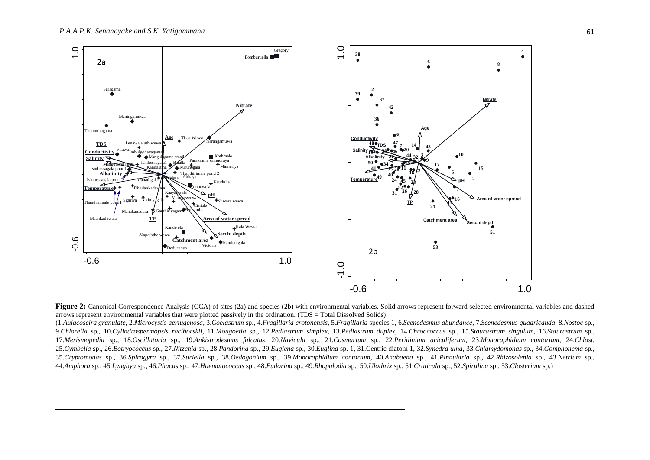

**Figure 2:** Canonical Correspondence Analysis (CCA) of sites (2a) and species (2b) with environmental variables. Solid arrows represent forward selected environmental variables and dashed arrows represent environmental variables that were plotted passively in the ordination. (TDS = Total Dissolved Solids)

(1.Aulacoseira granulate, 2.Microcystis aeriugenosa, 3.Coelastrum sp., 4.Fragillaria crotonensis, 5.Fragillaria species 1, 6.Scenedesmus abundance, 7.Scenedesmus quadricauda, 8.Nostoc sp., 9.Chlorella sp., 10.Cylindrospermopsis raciborskii, 11.Mougoetia sp., 12.Pediastrum simplex, 13.Pediastrum duplex, 14.Chroococcus sp., 15.Staurastrum singulum, 16.Staurastrum sp., 17. Merismopedia sp., 18. Oscillatoria sp., 19. Ankistrodesmus falcatus, 20. Navicula sp., 21. Cosmarium sp., 22. Peridinium aciculiferum, 23. Monoraphidium contortum, 24. Chlost, 25.Cymbella sp., 26.Botryococcus sp., 27.Nitzchia sp., 28.Pandorina sp., 29.Euglena sp., 30.Euglina sp. 1, 31.Centric diatom 1, 32.Synedra ulna, 33.Chlamydomonas sp., 34.Gomphonema sp., 35. Cryptomonas sp., 36. Spirogyra sp., 37. Suriella sp., 38. Oedogonium sp., 39. Monoraphidium contortum, 40. Anabaena sp., 41. Pinnularia sp., 42. Rhizosolenia sp., 43. Netrium sp., 44.Amphora sp., 45.Lyngbya sp., 46.Phacus sp., 47.Haematococcus sp., 48.Eudorina sp., 49.Rhopalodia sp., 50.Ulothrix sp., 51.Craticula sp., 52.Spirulina sp., 53.Closterium sp.)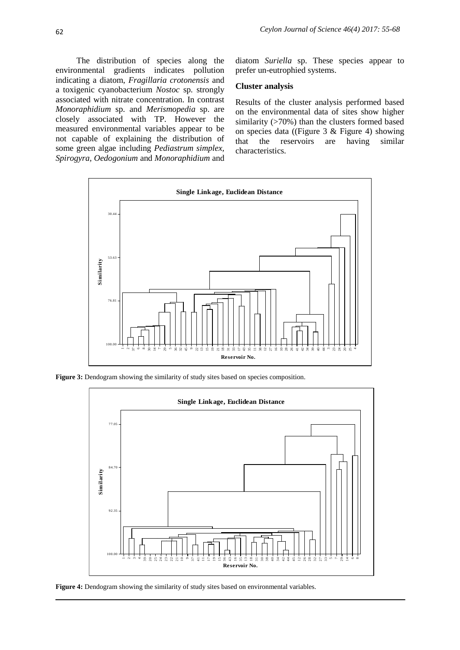The distribution of species along the environmental gradients indicates pollution indicating a diatom, *Fragillaria crotonensis* and a toxigenic cyanobacterium *Nostoc* sp*.* strongly associated with nitrate concentration. In contrast *Monoraphidium* sp. and *Merismopedia* sp. are closely associated with TP. However the measured environmental variables appear to be not capable of explaining the distribution of some green algae including *Pediastrum simplex, Spirogyra, Oedogonium* and *Monoraphidium* and diatom *Suriella* sp. These species appear to prefer un-eutrophied systems.

#### **Cluster analysis**

Results of the cluster analysis performed based on the environmental data of sites show higher similarity (>70%) than the clusters formed based on species data ((Figure 3 & Figure 4) showing that the reservoirs are having similar characteristics.



Figure 3: Dendogram showing the similarity of study sites based on species composition.



Figure 4: Dendogram showing the similarity of study sites based on environmental variables.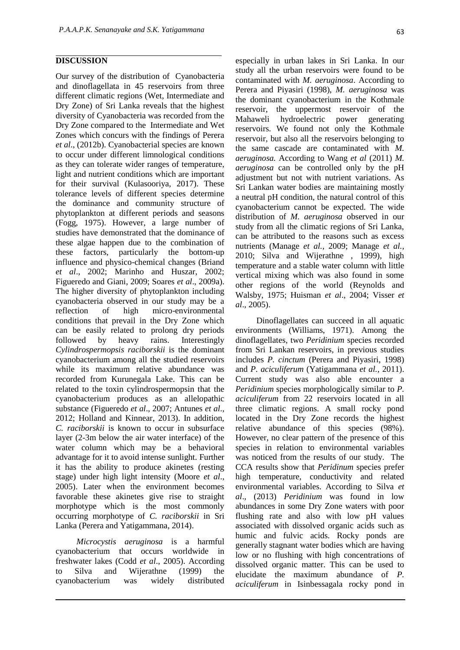#### **DISCUSSION**

Our survey of the distribution of Cyanobacteria and dinoflagellata in 45 reservoirs from three different climatic regions (Wet, Intermediate and Dry Zone) of Sri Lanka reveals that the highest diversity of Cyanobacteria was recorded from the Dry Zone compared to the Intermediate and Wet Zones which concurs with the findings of Perera *et al*., (2012b). Cyanobacterial species are known to occur under different limnological conditions as they can tolerate wider ranges of temperature, light and nutrient conditions which are important for their survival (Kulasooriya, 2017). These tolerance levels of different species determine the dominance and community structure of phytoplankton at different periods and seasons (Fogg, 1975). However, a large number of studies have demonstrated that the dominance of these algae happen due to the combination of these factors, particularly the bottom-up influence and physico-chemical changes (Briand *et al*., 2002; Marinho and Huszar, 2002; Figueredo and Giani, 2009; Soares *et al*., 2009a). The higher diversity of phytoplankton including cyanobacteria observed in our study may be a reflection of high micro-environmental conditions that prevail in the Dry Zone which can be easily related to prolong dry periods followed by heavy rains. Interestingly *Cylindrospermopsis raciborskii* is the dominant cyanobacterium among all the studied reservoirs while its maximum relative abundance was recorded from Kurunegala Lake. This can be related to the toxin cylindrospermopsin that the cyanobacterium produces as an allelopathic substance (Figueredo *et al*., 2007; Antunes *et al*., 2012; Holland and Kinnear, 2013). In addition, *C. raciborskii* is known to occur in subsurface layer (2-3m below the air water interface) of the water column which may be a behavioral advantage for it to avoid intense sunlight. Further it has the ability to produce akinetes (resting stage) under high light intensity (Moore *et al*., 2005). Later when the environment becomes favorable these akinetes give rise to straight morphotype which is the most commonly occurring morphotype of *C. raciborskii* in Sri Lanka (Perera and Yatigammana, 2014).

*Microcystis aeruginosa* is a harmful cyanobacterium that occurs worldwide in freshwater lakes (Codd *et al*., 2005). According to Silva and Wijerathne (1999) the cyanobacterium was widely distributed especially in urban lakes in Sri Lanka. In our study all the urban reservoirs were found to be contaminated with *M. aeruginosa*. According to Perera and Piyasiri (1998), *M. aeruginosa* was the dominant cyanobacterium in the Kothmale reservoir, the uppermost reservoir of the Mahaweli hydroelectric power generating reservoirs. We found not only the Kothmale reservoir, but also all the reservoirs belonging to the same cascade are contaminated with *M. aeruginosa.* According to Wang *et al* (2011) *M. aeruginosa* can be controlled only by the pH adjustment but not with nutrient variations. As Sri Lankan water bodies are maintaining mostly a neutral pH condition, the natural control of this cyanobacterium cannot be expected. The wide distribution of *M. aeruginosa* observed in our study from all the climatic regions of Sri Lanka, can be attributed to the reasons such as excess nutrients (Manage *et al.,* 2009; Manage *et al.,* 2010; Silva and Wijerathne , 1999), high temperature and a stable water column with little vertical mixing which was also found in some other regions of the world (Reynolds and Walsby, 1975; Huisman *et al*., 2004; Visser *et al*., 2005).

Dinoflagellates can succeed in all aquatic environments (Williams, 1971). Among the dinoflagellates, two *Peridinium* species recorded from Sri Lankan reservoirs, in previous studies includes *P. cinctum* (Perera and Piyasiri, 1998) and *P. aciculiferum* (Yatigammana *et al.*, 2011). Current study was also able encounter a *Peridinium* species morphologically similar to *P. aciculiferum* from 22 reservoirs located in all three climatic regions. A small rocky pond located in the Dry Zone records the highest relative abundance of this species (98%). However, no clear pattern of the presence of this species in relation to environmental variables was noticed from the results of our study. The CCA results show that *Peridinum* species prefer high temperature, conductivity and related environmental variables. According to Silva *et al*., (2013) *Peridinium* was found in low abundances in some Dry Zone waters with poor flushing rate and also with low pH values associated with dissolved organic acids such as humic and fulvic acids. Rocky ponds are generally stagnant water bodies which are having low or no flushing with high concentrations of dissolved organic matter. This can be used to elucidate the maximum abundance of *P. aciculiferum* in Isinbessagala rocky pond in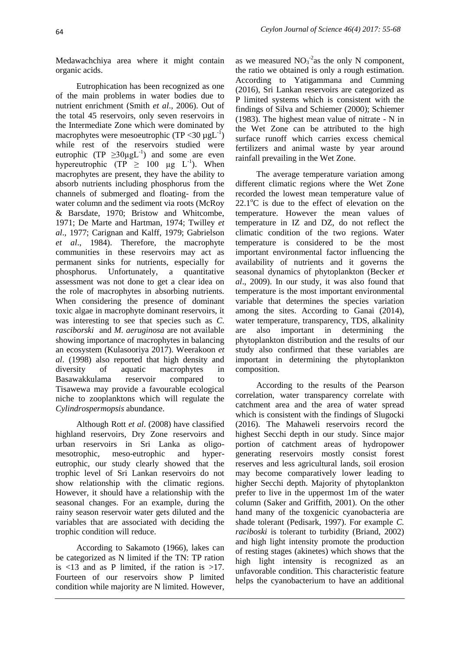Medawachchiya area where it might contain organic acids.

Eutrophication has been recognized as one of the main problems in water bodies due to nutrient enrichment (Smith *et al*., 2006). Out of the total 45 reservoirs, only seven reservoirs in the Intermediate Zone which were dominated by macrophytes were mesoeutrophic  $(TP < 30 \mu gL^{-1})$ while rest of the reservoirs studied were eutrophic  $(TP \geq 30 \mu gL^{-1})$  and some are even hypereutrophic (TP  $\geq$  100 µg L<sup>-1</sup>). When macrophytes are present, they have the ability to absorb nutrients including phosphorus from the channels of submerged and floating- from the water column and the sediment via roots (McRoy & Barsdate, 1970; Bristow and Whitcombe, 1971; De Marte and Hartman, 1974; Twilley *et al*., 1977; Carignan and Kalff, 1979; Gabrielson *et al*., 1984). Therefore, the macrophyte communities in these reservoirs may act as permanent sinks for nutrients, especially for phosphorus. Unfortunately, a quantitative assessment was not done to get a clear idea on the role of macrophytes in absorbing nutrients. When considering the presence of dominant toxic algae in macrophyte dominant reservoirs, it was interesting to see that species such as *C. rasciborski* and *M. aeruginosa* are not available showing importance of macrophytes in balancing an ecosystem (Kulasooriya 2017). Weerakoon *et al*. (1998) also reported that high density and diversity of aquatic macrophytes in Basawakkulama reservoir compared to Tisawewa may provide a favourable ecological niche to zooplanktons which will regulate the *Cylindrospermopsis* abundance.

Although Rott *et al*. (2008) have classified highland reservoirs, Dry Zone reservoirs and urban reservoirs in Sri Lanka as oligomesotrophic, meso-eutrophic and hypereutrophic, our study clearly showed that the trophic level of Sri Lankan reservoirs do not show relationship with the climatic regions. However, it should have a relationship with the seasonal changes. For an example, during the rainy season reservoir water gets diluted and the variables that are associated with deciding the trophic condition will reduce.

According to Sakamoto (1966), lakes can be categorized as N limited if the TN: TP ration is  $\langle 13 \rangle$  and as P limited, if the ration is  $>17$ . Fourteen of our reservoirs show P limited condition while majority are N limited. However,

as we measured  $NO<sub>3</sub><sup>-2</sup>$  as the only N component, the ratio we obtained is only a rough estimation. According to Yatigammana and Cumming (2016), Sri Lankan reservoirs are categorized as P limited systems which is consistent with the findings of Silva and Schiemer (2000); Schiemer (1983). The highest mean value of nitrate - N in the Wet Zone can be attributed to the high surface runoff which carries excess chemical fertilizers and animal waste by year around rainfall prevailing in the Wet Zone.

The average temperature variation among different climatic regions where the Wet Zone recorded the lowest mean temperature value of  $22.1^{\circ}$ C is due to the effect of elevation on the temperature. However the mean values of temperature in IZ and DZ, do not reflect the climatic condition of the two regions. Water temperature is considered to be the most important environmental factor influencing the availability of nutrients and it governs the seasonal dynamics of phytoplankton (Becker *et al*., 2009). In our study, it was also found that temperature is the most important environmental variable that determines the species variation among the sites. According to Ganai (2014), water temperature, transparency, TDS, alkalinity are also important in determining the phytoplankton distribution and the results of our study also confirmed that these variables are important in determining the phytoplankton composition.

According to the results of the Pearson correlation, water transparency correlate with catchment area and the area of water spread which is consistent with the findings of Slugocki (2016). The Mahaweli reservoirs record the highest Secchi depth in our study. Since major portion of catchment areas of hydropower generating reservoirs mostly consist forest reserves and less agricultural lands, soil erosion may become comparatively lower leading to higher Secchi depth. Majority of phytoplankton prefer to live in the uppermost 1m of the water column (Saker and Griffith, 2001). On the other hand many of the toxgenicic cyanobacteria are shade tolerant (Pedisark, 1997). For example *C. raciboski* is tolerant to turbidity (Briand, 2002) and high light intensity promote the production of resting stages (akinetes) which shows that the high light intensity is recognized as an unfavorable condition. This characteristic feature helps the cyanobacterium to have an additional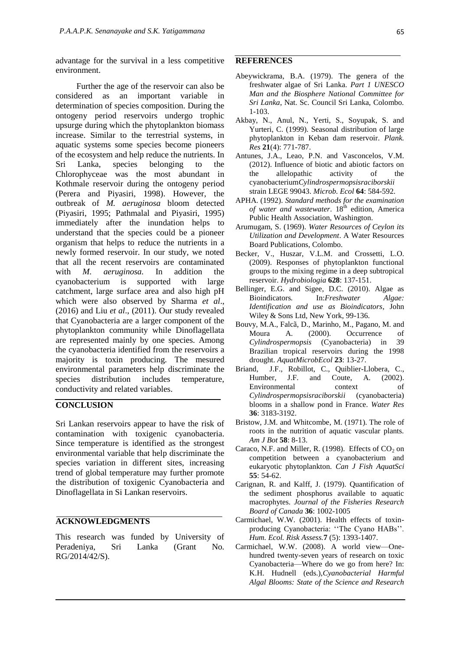advantage for the survival in a less competitive environment.

Further the age of the reservoir can also be considered as an important variable in determination of species composition. During the ontogeny period reservoirs undergo trophic upsurge during which the phytoplankton biomass increase. Similar to the terrestrial systems, in aquatic systems some species become pioneers of the ecosystem and help reduce the nutrients. In Sri Lanka, species belonging to the Chlorophyceae was the most abundant in Kothmale reservoir during the ontogeny period (Perera and Piyasiri, 1998). However, the outbreak of *M. aeruginosa* bloom detected (Piyasiri, 1995; Pathmalal and Piyasiri, 1995) immediately after the inundation helps to understand that the species could be a pioneer organism that helps to reduce the nutrients in a newly formed reservoir. In our study, we noted that all the recent reservoirs are contaminated with *M. aeruginosa*. In addition the cyanobacterium is supported with large catchment, large surface area and also high pH which were also observed by Sharma *et al*., (2016) and Liu *et al*., (2011). Our study revealed that Cyanobacteria are a larger component of the phytoplankton community while Dinoflagellata are represented mainly by one species. Among the cyanobacteria identified from the reservoirs a majority is toxin producing. The mesured environmental parameters help discriminate the species distribution includes temperature, conductivity and related variables.

#### **CONCLUSION**

Sri Lankan reservoirs appear to have the risk of contamination with toxigenic cyanobacteria. Since temperature is identified as the strongest environmental variable that help discriminate the species variation in different sites, increasing trend of global temperature may further promote the distribution of toxigenic Cyanobacteria and Dinoflagellata in Si Lankan reservoirs.

# **ACKNOWLEDGMENTS**

This research was funded by University of Peradeniya, Sri Lanka (Grant No. RG/2014/42/S).

#### **REFERENCES**

- Abeywickrama, B.A. (1979). The genera of the freshwater algae of Sri Lanka. *Part 1 UNESCO Man and the Biosphere National Committee for Sri Lanka*, Nat. Sc. Council Sri Lanka, Colombo. 1-103.
- Akbay, N., Anul, N., Yerti, S., Soyupak, S. and Yurteri, C. (1999). Seasonal distribution of large phytoplankton in Keban dam reservoir. *Plank. Res* **21**(4): 771-787.
- Antunes, J.A., Leao, P.N. and Vasconcelos, V.M. (2012). Influence of biotic and abiotic factors on the allelopathic activity of the cyanobacterium*Cylindrospermopsisraciborskii* strain LEGE 99043. *Microb. Ecol* **64**: 584-592.
- APHA. (1992). *Standard methods for the examination of water and wastewater*. 18<sup>th</sup> edition, America Public Health Association, Washington.
- Arumugam, S. (1969). *Water Resources of Ceylon its Utilization and Development*. A Water Resources Board Publications, Colombo.
- Becker, V., Huszar, V.L.M. and Crossetti, L.O. (2009). Responses of phytoplankton functional groups to the mixing regime in a deep subtropical reservoir. *Hydrobiologia* **628**: 137-151.
- Bellinger, E.G. and Sigee, D.C. (2010). Algae as Bioindicators*.* In:*Freshwater Algae: Identification and use as Bioindicators*, John Wiley & Sons Ltd, New York, 99-136.
- Bouvy, M.A., Falcã, D., Marinho, M., Pagano, M. and Moura A. (2000). Occurrence of *Cylindrospermopsis* (Cyanobacteria) in 39 Brazilian tropical reservoirs during the 1998 drought. *AquatMicrobEcol* **23**: 13-27.
- Briand, J.F., Robillot, C., Quiblier-Llobera, C., Humber, J.F. and Coute, A. (2002). Environmental context of *Cylindrospermopsisraciborskii* (cyanobacteria) blooms in a shallow pond in France. *Water Res* **36**: 3183-3192.
- Bristow, J.M. and Whitcombe, M. (1971). The role of roots in the nutrition of aquatic vascular plants. *Am J Bot* **58**: 8-13.
- Caraco, N.F. and Miller, R. (1998). Effects of  $CO<sub>2</sub>$  on competition between a cyanobacterium and eukaryotic phytoplankton. *Can J Fish AquatSci* **55**: 54-62.
- Carignan, R. and Kalff, J. (1979). Quantification of the sediment phosphorus available to aquatic macrophytes. *Journal of the Fisheries Research Board of Canada* **36**: 1002-1005
- Carmichael, W.W. (2001). Health effects of toxinproducing Cyanobacteria: "The Cyano HABs". *Hum. Ecol. Risk Assess.***7** (5): 1393-1407.
- Carmichael, W.W. (2008). A world view—Onehundred twenty-seven years of research on toxic Cyanobacteria—Where do we go from here? In: K.H. Hudnell (eds.),*Cyanobacterial Harmful Algal Blooms: State of the Science and Research*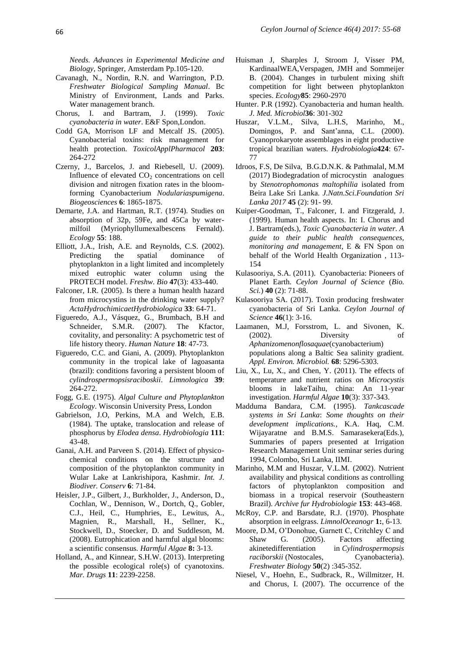*Needs. Advances in Experimental Medicine and Biology*, Springer, Amsterdam Pp.105-120.

- Cavanagh, N., Nordin, R.N. and Warrington, P.D. *Freshwater Biological Sampling Manual*. Bc Ministry of Environment, Lands and Parks. Water management branch.
- Chorus, I. and Bartram, J. (1999). *Toxic cyanobacteria in water*. E&F Spon,London.
- Codd GA, Morrison LF and Metcalf JS. (2005). Cyanobacterial toxins: risk management for health protection. *ToxicolApplPharmacol* **203**: 264-272
- Czerny, J., Barcelos, J. and Riebesell, U. (2009). Influence of elevated  $CO<sub>2</sub>$  concentrations on cell division and nitrogen fixation rates in the bloomforming Cyanobacterium *Nodulariaspumigena*. *Biogeosciences* **6**: 1865-1875.
- Demarte, J.A. and Hartman, R.T. (1974). Studies on absorption of 32p, 59Fe, and 45Ca by watermilfoil (Myriophyllumexalbescens Fernald). *Ecology* **55**: 188.
- Elliott, J.A., Irish, A.E. and Reynolds, C.S. (2002). Predicting the spatial dominance of phytoplankton in a light limited and incompletely mixed eutrophic water column using the PROTECH model. *Freshw. Bio* **47**(3): 433-440.
- Falconer, I.R. (2005). Is there a human health hazard from microcystins in the drinking water supply? *ActaHydrochimicaetHydrobiologica* **33**: 64-71.
- Figueredo, A.J., Vásquez, G., Brumbach, B.H and Schneider, S.M.R. (2007). The Kfactor, covitality, and personality: A psychometric test of life history theory. *Human Nature* **18**: 47-73.
- Figueredo, C.C. and Giani, A. (2009). Phytoplankton community in the tropical lake of lagoasanta (brazil): conditions favoring a persistent bloom of *cylindrospermopsisraciboskii*. *Limnologica* **39**: 264-272.
- Fogg, G.E. (1975). *Algal Culture and Phytoplankton Ecology*. Wisconsin University Press, London
- Gabrielson, J.O, Perkins, M.A and Welch, E.B. (1984). The uptake, translocation and release of phosphorus by *Elodea densa*. *Hydrobiologia* **111**: 43-48.
- Ganai, A.H. and Parveen S. (2014). Effect of physicochemical conditions on the structure and composition of the phytoplankton community in Wular Lake at Lankrishipora, Kashmir. *Int. J. Biodiver. Conserv* **6**: 71-84.
- Heisler, J.P., Gilbert, J., Burkholder, J., Anderson, D., Cochlan, W., Dennison, W., Dortch, Q., Gobler, C.J., Heil, C., Humphries, E., Lewitus, A., Magnien, R., Marshall, H., Sellner, K., Stockwell, D., Stoecker, D. and Suddleson, M. (2008). Eutrophication and harmful algal blooms: a scientific consensus. *Harmful Algae* **8:** 3-13.
- Holland, A., and Kinnear, S.H.W. (2013). Interpreting the possible ecological role(s) of cyanotoxins. *Mar. Drugs* **11**: 2239-2258.
- Huisman J, Sharples J, Stroom J, Visser PM, KardinaalWEA,Verspagen, JMH and Sommeijer B. (2004). Changes in turbulent mixing shift competition for light between phytoplankton species. *Ecology***85**: 2960-2970
- Hunter. P.R (1992). Cyanobacteria and human health. *J. Med. Microbiol***36**: 301-302
- Huszar, V.L.M., Silva, L.H.S, Marinho, M., Domingos, P. and Sant'anna, C.L. (2000). Cyanoprokaryote assemblages in eight productive tropical brazilian waters. *Hydrobiologia***424**: 67- 77
- Idroos, F.S, De Silva, B.G.D.N.K. & Pathmalal, M.M (2017) Biodegradation of microcystin analogues by *Stenotrophomonas maltophilia* isolated from Beira Lake Sri Lanka. *J.Natn.Sci.Foundation Sri Lanka 2017* **45** (2): 91- 99.
- Kuiper-Goodman, T., Falconer, I. and Fitzgerald, J. (1999). Human health aspects. In: I. Chorus and J. Bartram(eds.), *Toxic Cyanobacteria in water. A guide to their public health consequences, monitoring and management*, E & FN Spon on behalf of the World Health Organization , 113- 154
- Kulasooriya, S.A. (2011). Cyanobacteria: Pioneers of Planet Earth. *Ceylon Journal of Science* (*Bio. Sci.*) **40** (2): 71-88.
- Kulasooriya SA. (2017). Toxin producing freshwater cyanobacteria of Sri Lanka. *Ceylon Journal of Science* **46**(1): 3-16.
- Laamanen, M.J, Forsstrom, L. and Sivonen, K. (2002). Diversity of *Aphanizomenonflosaquae*(cyanobacterium) populations along a Baltic Sea salinity gradient. *Appl. Environ. Microbiol.* **68**: 5296-5303.
- Liu, X., Lu, X., and Chen, Y. (2011). The effects of temperature and nutrient ratios on *Microcystis* blooms in lakeTaihu, china: An 11-year investigation. *Harmful Algae* **10**(3): 337-343.
- Madduma Bandara, C.M. (1995). *Tankcascade systems in Sri Lanka*: *Some thoughts on their development implications.*, K.A. Haq, C.M. Wijayaratne and B.M.S. Samarasekera(Eds.), Summaries of papers presented at Irrigation Research Management Unit seminar series during 1994, Colombo, Sri Lanka, IIMI.
- Marinho, M.M and Huszar, V.L.M. (2002). Nutrient availability and physical conditions as controlling factors of phytoplankton composition and biomass in a tropical reservoir (Southeastern Brazil). *Archive fur Hydrobiologie* **153**: 443-468.
- McRoy, C.P. and Barsdate, R.J. (1970). Phosphate absorption in eelgrass. *LimnolOceanogr* **1:**, 6-13.
- Moore, D.M, O"Donohue, Garnett C, Critchley C and Shaw G. (2005). Factors affecting akinetedifferentiation in *Cylindrospermopsis raciborskii* (Nostocales, Cyanobacteria). *Freshwater Biology* **50**(2) :345-352.
- Niesel, V., Hoehn, E., Sudbrack, R., Willmitzer, H. and Chorus, I. (2007). The occurrence of the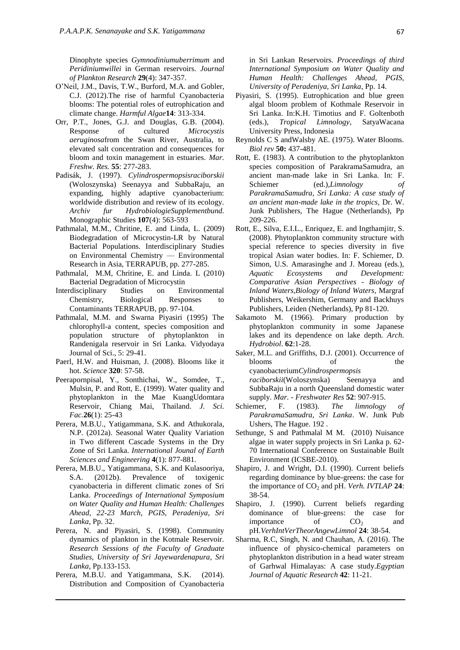Dinophyte species *Gymnodiniumuberrimum* and *Peridiniumwillei* in German reservoirs. *Journal of Plankton Research* **29**(4): 347-357.

- O"Neil, J.M., Davis, T.W., Burford, M.A. and Gobler, C.J. (2012).The rise of harmful Cyanobacteria blooms: The potential roles of eutrophication and climate change. *Harmful Algae***14**: 313-334.
- Orr, P.T., Jones, G.J. and Douglas, G.B. (2004). Response of cultured *Microcystis aeruginosa*from the Swan River, Australia, to elevated salt concentration and consequences for bloom and toxin management in estuaries. *Mar. Freshw. Res.* **55**: 277-283.
- Padisák, J. (1997). *Cylindrospermopsisraciborskii* (Woloszynska) Seenayya and SubbaRaju, an expanding, highly adaptive cyanobacterium: worldwide distribution and review of its ecology. *Archiv fur HydrobiologieSupplementbund.*  Monographic Studies **107**(4): 563-593
- Pathmalal, M.M., Chritine, E. and Linda, L. (2009) Biodegradation of Microcystin-LR by Natural Bacterial Populations. Interdisciplinary Studies on Environmental Chemistry — Environmental Research in Asia, TERRAPUB, pp. 277-285.
- Pathmalal, M.M, Chritine, E. and Linda. L (2010) Bacterial Degradation of Microcystin
- Interdisciplinary Studies on Environmental Chemistry, Biological Responses to Contaminants TERRAPUB, pp. 97-104.
- Pathmalal, M.M. and Swarna Piyasiri (1995) The chlorophyll-a content, species composition and population structure of phytoplankton in Randenigala reservoir in Sri Lanka. Vidyodaya Journal of Sci., 5: 29-41.
- Paerl, H.W. and Huisman, J. (2008). Blooms like it hot. *Science* **320**: 57-58.
- Peerapornpisal, Y., Sonthichai, W., Somdee, T., Mulsin, P. and Rott, E. (1999). Water quality and phytoplankton in the Mae KuangUdomtara Reservoir, Chiang Mai, Thailand. *J. Sci. Fac.***26**(1): 25-43
- Perera, M.B.U., Yatigammana, S.K. and Athukorala, N.P. (2012a). Seasonal Water Quality Variation in Two different Cascade Systems in the Dry Zone of Sri Lanka. *International Jounal of Earth Sciences and Engineering* **4**(1): 877-881.
- Perera, M.B.U., Yatigammana, S.K. and Kulasooriya, S.A. (2012b). Prevalence of toxigenic cyanobacteria in different climatic zones of Sri Lanka. *Proceedings of International Symposium on Water Quality and Human Health: Challenges Ahead, 22-23 March, PGIS, Peradeniya, Sri Lanka*, Pp. 32.
- Perera, N. and Piyasiri, S. (1998). Community dynamics of plankton in the Kotmale Reservoir. *Research Sessions of the Faculty of Graduate Studies, University of Sri Jayewardenapura, Sri Lanka*, Pp.133-153.
- Perera, M.B.U. and Yatigammana, S.K. (2014). Distribution and Composition of Cyanobacteria

in Sri Lankan Reservoirs. *Proceedings of third International Symposium on Water Quality and Human Health: Challenges Ahead, PGIS, University of Peradeniya, Sri Lanka*, Pp. 14.

- Piyasiri, S. (1995). Eutrophication and blue green algal bloom problem of Kothmale Reservoir in Sri Lanka. In:K.H. Timotius and F. Goltenboth (eds.), *Tropical Limnology*, SatyaWacana University Press, Indonesia
- Reynolds C S andWalsby AE. (1975). Water Blooms. *Biol rev* **50:** 437-481.
- Rott, E. (1983). A contribution to the phytoplankton species composition of ParakramaSamudra, an ancient man-made lake in Sri Lanka. In: F. Schiemer (ed.),*Limnology of ParakramaSamudra, Sri Lanka: A case study of an ancient man-made lake in the tropics*, Dr. W. Junk Publishers, The Hague (Netherlands), Pp 209-226.
- Rott, E., Silva, E.I.L., Enriquez, E. and Ingthamjitr, S. (2008). Phytoplankton community structure with special reference to species diversity in five tropical Asian water bodies. In: F. Schiemer, D. Simon, U.S. Amarasinghe and J. Moreau (eds.), *Aquatic Ecosystems and Development: Comparative Asian Perspectives - Biology of Inland Waters,Biology of Inland Waters*, Margraf Publishers, Weikershim, Germany and Backhuys Publishers, Leiden (Netherlands), Pp 81-120.
- Sakamoto M. (1966). Primary production by phytoplankton community in some Japanese lakes and its dependence on lake depth. *Arch. Hydrobiol*. **62**:1-28.
- Saker, M.L. and Griffiths, D.J. (2001). Occurrence of blooms of the cyanobacterium*Cylindrospermopsis raciborskii*(Woloszynska) Seenayya and SubbaRaju in a north Queensland domestic water supply. *Mar. - Freshwater Res* **52**: 907-915.
- Schiemer, F. (1983). *The limnology of ParakramaSamudra, Sri Lanka*. W. Junk Pub Ushers, The Hague. 192 .
- Sethunge, S and Pathmalal M M. (2010) Nuisance algae in water supply projects in Sri Lanka p. 62- 70 International Conference on Sustainable Built Environment (ICSBE-2010).
- Shapiro, J. and Wright, D.I. (1990). Current beliefs regarding dominance by blue-greens: the case for the importance of CO<sub>2</sub> and pH. *Verh. IVTLAP* 24: 38-54.
- Shapiro, J. (1990). Current beliefs regarding dominance of blue-greens: the case for importance of  $CO<sub>2</sub>$  and pH.*VerhIntVerTheorAngewLimnol* **24**: 38-54.
- Sharma, R.C, Singh, N. and Chauhan, A. (2016). The influence of physico-chemical parameters on phytoplankton distribution in a head water stream of Garhwal Himalayas: A case study.*Egyptian Journal of Aquatic Research* **42**: 11-21.